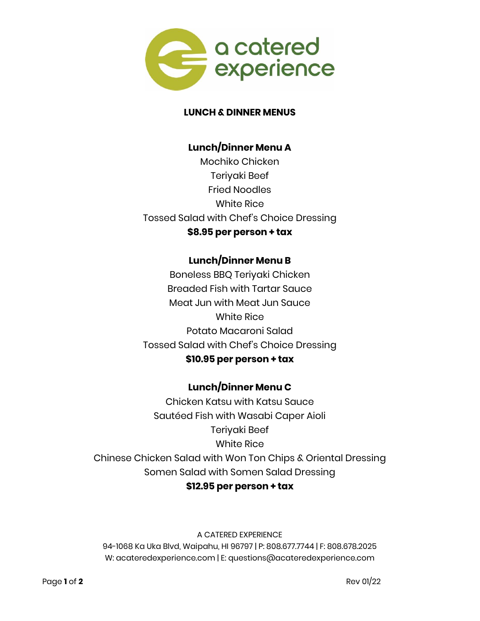

#### **LUNCH & DINNER MENUS**

### **Lunch/Dinner Menu A**

Mochiko Chicken Teriyaki Beef Fried Noodles White Rice Tossed Salad with Chef's Choice Dressing **\$8.95 per person + tax**

## **Lunch/Dinner Menu B**

Boneless BBQ Teriyaki Chicken Breaded Fish with Tartar Sauce Meat Jun with Meat Jun Sauce White Rice Potato Macaroni Salad Tossed Salad with Chef's Choice Dressing **\$10.95 per person + tax**

# **Lunch/Dinner Menu C**

Chicken Katsu with Katsu Sauce Sautéed Fish with Wasabi Caper Aioli Teriyaki Beef White Rice Chinese Chicken Salad with Won Ton Chips & Oriental Dressing Somen Salad with Somen Salad Dressing **\$12.95 per person + tax**

#### A CATERED EXPERIENCE

94-1068 Ka Uka Blvd, Waipahu, HI 96797 | P: 808.677.7744 | F: 808.678.2025 W: acateredexperience.com | E: questions@acateredexperience.com